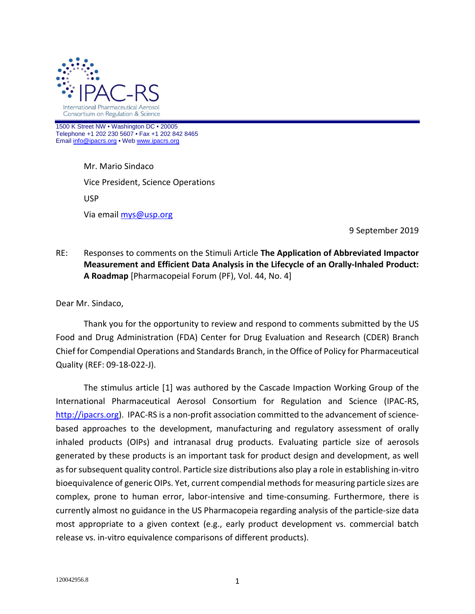

1500 K Street NW • Washington DC • 20005 Telephone +1 202 230 5607 • Fax +1 202 842 8465 Emai[l info@ipacrs.org](mailto:info@ipacrs.org) • We[b www.ipacrs.org](http://www.ipacrs.org/)

> Mr. Mario Sindaco Vice President, Science Operations USP Via email [mys@usp.org](mailto:mys@usp.org)

> > 9 September 2019

# RE: Responses to comments on the Stimuli Article **The Application of Abbreviated Impactor Measurement and Efficient Data Analysis in the Lifecycle of an Orally-Inhaled Product: A Roadmap** [Pharmacopeial Forum (PF), Vol. 44, No. 4]

Dear Mr. Sindaco,

Thank you for the opportunity to review and respond to comments submitted by the US Food and Drug Administration (FDA) Center for Drug Evaluation and Research (CDER) Branch Chief for Compendial Operations and Standards Branch, in the Office of Policy for Pharmaceutical Quality (REF: 09-18-022-J).

<span id="page-0-0"></span>The stimulus article [[1](#page-10-0)] was authored by the Cascade Impaction Working Group of the International Pharmaceutical Aerosol Consortium for Regulation and Science (IPAC-RS, [http://ipacrs.org\)](http://ipacrs.org/). IPAC-RS is a non-profit association committed to the advancement of sciencebased approaches to the development, manufacturing and regulatory assessment of orally inhaled products (OIPs) and intranasal drug products. Evaluating particle size of aerosols generated by these products is an important task for product design and development, as well as for subsequent quality control. Particle size distributions also play a role in establishing in-vitro bioequivalence of generic OIPs. Yet, current compendial methodsfor measuring particle sizes are complex, prone to human error, labor-intensive and time-consuming. Furthermore, there is currently almost no guidance in the US Pharmacopeia regarding analysis of the particle-size data most appropriate to a given context (e.g., early product development vs. commercial batch release vs. in-vitro equivalence comparisons of different products).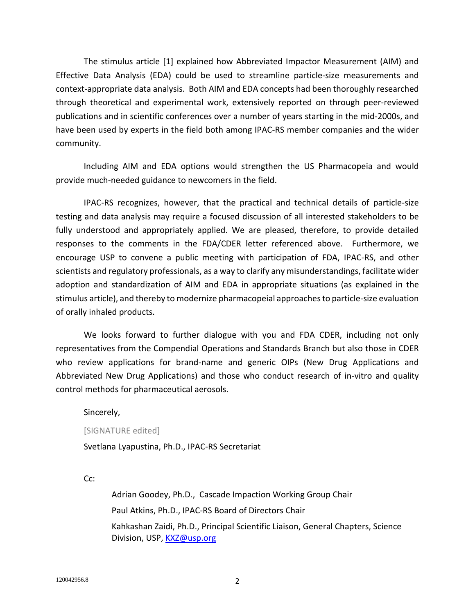The stimulus article [\[1\]](#page-0-0) explained how Abbreviated Impactor Measurement (AIM) and Effective Data Analysis (EDA) could be used to streamline particle-size measurements and context-appropriate data analysis. Both AIM and EDA concepts had been thoroughly researched through theoretical and experimental work, extensively reported on through peer-reviewed publications and in scientific conferences over a number of years starting in the mid-2000s, and have been used by experts in the field both among IPAC-RS member companies and the wider community.

Including AIM and EDA options would strengthen the US Pharmacopeia and would provide much-needed guidance to newcomers in the field.

IPAC-RS recognizes, however, that the practical and technical details of particle-size testing and data analysis may require a focused discussion of all interested stakeholders to be fully understood and appropriately applied. We are pleased, therefore, to provide detailed responses to the comments in the FDA/CDER letter referenced above. Furthermore, we encourage USP to convene a public meeting with participation of FDA, IPAC-RS, and other scientists and regulatory professionals, as a way to clarify any misunderstandings, facilitate wider adoption and standardization of AIM and EDA in appropriate situations (as explained in the stimulus article), and thereby to modernize pharmacopeial approaches to particle-size evaluation of orally inhaled products.

We looks forward to further dialogue with you and FDA CDER, including not only representatives from the Compendial Operations and Standards Branch but also those in CDER who review applications for brand-name and generic OIPs (New Drug Applications and Abbreviated New Drug Applications) and those who conduct research of in-vitro and quality control methods for pharmaceutical aerosols.

Sincerely,

[SIGNATURE edited]

Svetlana Lyapustina, Ph.D., IPAC-RS Secretariat

C<sub>c</sub>:

Adrian Goodey, Ph.D., Cascade Impaction Working Group Chair Paul Atkins, Ph.D., IPAC-RS Board of Directors Chair Kahkashan Zaidi, Ph.D., Principal Scientific Liaison, General Chapters, Science Division, USP, [KXZ@usp.org](mailto:KXZ@usp.org)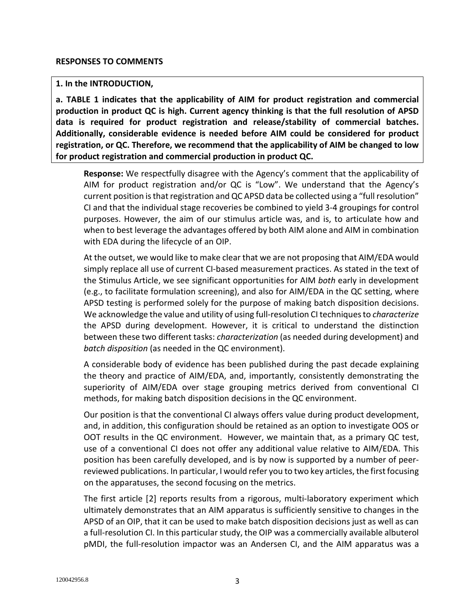### **1. In the INTRODUCTION,**

**a. TABLE 1 indicates that the applicability of AIM for product registration and commercial production in product QC is high. Current agency thinking is that the full resolution of APSD data is required for product registration and release/stability of commercial batches. Additionally, considerable evidence is needed before AIM could be considered for product registration, or QC. Therefore, we recommend that the applicability of AIM be changed to low for product registration and commercial production in product QC.**

**Response:** We respectfully disagree with the Agency's comment that the applicability of AIM for product registration and/or QC is "Low". We understand that the Agency's current position is that registration and QC APSD data be collected using a "full resolution" CI and that the individual stage recoveries be combined to yield 3-4 groupings for control purposes. However, the aim of our stimulus article was, and is, to articulate how and when to best leverage the advantages offered by both AIM alone and AIM in combination with EDA during the lifecycle of an OIP.

At the outset, we would like to make clear that we are not proposing that AIM/EDA would simply replace all use of current CI-based measurement practices. As stated in the text of the Stimulus Article, we see significant opportunities for AIM *both* early in development (e.g., to facilitate formulation screening), and also for AIM/EDA in the QC setting, where APSD testing is performed solely for the purpose of making batch disposition decisions. We acknowledge the value and utility of using full-resolution CI techniques to *characterize* the APSD during development. However, it is critical to understand the distinction between these two different tasks: *characterization* (as needed during development) and *batch disposition* (as needed in the QC environment).

A considerable body of evidence has been published during the past decade explaining the theory and practice of AIM/EDA, and, importantly, consistently demonstrating the superiority of AIM/EDA over stage grouping metrics derived from conventional CI methods, for making batch disposition decisions in the QC environment.

Our position is that the conventional CI always offers value during product development, and, in addition, this configuration should be retained as an option to investigate OOS or OOT results in the QC environment. However, we maintain that, as a primary QC test, use of a conventional CI does not offer any additional value relative to AIM/EDA. This position has been carefully developed, and is by now is supported by a number of peerreviewed publications. In particular, I would refer you to two key articles, the first focusing on the apparatuses, the second focusing on the metrics.

The first article [[2](#page-10-1)] reports results from a rigorous, multi-laboratory experiment which ultimately demonstrates that an AIM apparatus is sufficiently sensitive to changes in the APSD of an OIP, that it can be used to make batch disposition decisions just as well as can a full-resolution CI. In this particular study, the OIP was a commercially available albuterol pMDI, the full-resolution impactor was an Andersen CI, and the AIM apparatus was a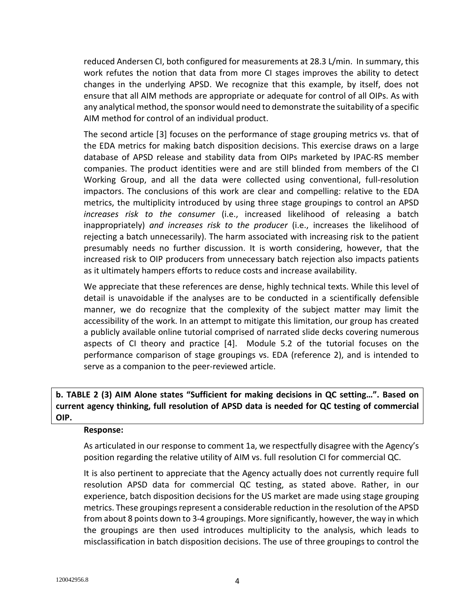reduced Andersen CI, both configured for measurements at 28.3 L/min. In summary, this work refutes the notion that data from more CI stages improves the ability to detect changes in the underlying APSD. We recognize that this example, by itself, does not ensure that all AIM methods are appropriate or adequate for control of all OIPs. As with any analytical method, the sponsor would need to demonstrate the suitability of a specific AIM method for control of an individual product.

<span id="page-3-0"></span>The second article [[3\]](#page-10-2) focuses on the performance of stage grouping metrics vs. that of the EDA metrics for making batch disposition decisions. This exercise draws on a large database of APSD release and stability data from OIPs marketed by IPAC-RS member companies. The product identities were and are still blinded from members of the CI Working Group, and all the data were collected using conventional, full-resolution impactors. The conclusions of this work are clear and compelling: relative to the EDA metrics, the multiplicity introduced by using three stage groupings to control an APSD *increases risk to the consumer* (i.e., increased likelihood of releasing a batch inappropriately) *and increases risk to the producer* (i.e., increases the likelihood of rejecting a batch unnecessarily). The harm associated with increasing risk to the patient presumably needs no further discussion. It is worth considering, however, that the increased risk to OIP producers from unnecessary batch rejection also impacts patients as it ultimately hampers efforts to reduce costs and increase availability.

We appreciate that these references are dense, highly technical texts. While this level of detail is unavoidable if the analyses are to be conducted in a scientifically defensible manner, we do recognize that the complexity of the subject matter may limit the accessibility of the work. In an attempt to mitigate this limitation, our group has created a publicly available online tutorial comprised of narrated slide decks covering numerous aspects of CI theory and practice [[4](#page-10-3)]. Module 5.2 of the tutorial focuses on the performance comparison of stage groupings vs. EDA (reference 2), and is intended to serve as a companion to the peer-reviewed article.

**b. TABLE 2 (3) AIM Alone states "Sufficient for making decisions in QC setting…". Based on current agency thinking, full resolution of APSD data is needed for QC testing of commercial OIP.**

### **Response:**

As articulated in our response to comment 1a, we respectfully disagree with the Agency's position regarding the relative utility of AIM vs. full resolution CI for commercial QC.

It is also pertinent to appreciate that the Agency actually does not currently require full resolution APSD data for commercial QC testing, as stated above. Rather, in our experience, batch disposition decisions for the US market are made using stage grouping metrics. These groupings represent a considerable reduction in the resolution of the APSD from about 8 points down to 3-4 groupings. More significantly, however, the way in which the groupings are then used introduces multiplicity to the analysis, which leads to misclassification in batch disposition decisions. The use of three groupings to control the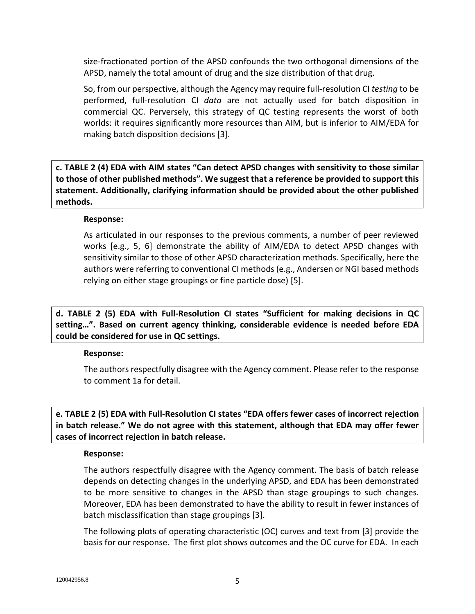size-fractionated portion of the APSD confounds the two orthogonal dimensions of the APSD, namely the total amount of drug and the size distribution of that drug.

So, from our perspective, although the Agency may require full-resolution CI *testing* to be performed, full-resolution CI *data* are not actually used for batch disposition in commercial QC. Perversely, this strategy of QC testing represents the worst of both worlds: it requires significantly more resources than AIM, but is inferior to AIM/EDA for making batch disposition decisions [\[3\]](#page-3-0).

**c. TABLE 2 (4) EDA with AIM states "Can detect APSD changes with sensitivity to those similar to those of other published methods". We suggest that a reference be provided to support this statement. Additionally, clarifying information should be provided about the other published methods.**

### **Response:**

<span id="page-4-0"></span>As articulated in our responses to the previous comments, a number of peer reviewed works [e.g., [5](#page-10-4), [6\]](#page-10-5) demonstrate the ability of AIM/EDA to detect APSD changes with sensitivity similar to those of other APSD characterization methods. Specifically, here the authors were referring to conventional CI methods (e.g., Andersen or NGI based methods relying on either stage groupings or fine particle dose) [\[5\]](#page-4-0).

**d. TABLE 2 (5) EDA with Full-Resolution CI states "Sufficient for making decisions in QC setting…". Based on current agency thinking, considerable evidence is needed before EDA could be considered for use in QC settings.**

# **Response:**

The authors respectfully disagree with the Agency comment. Please refer to the response to comment 1a for detail.

**e. TABLE 2 (5) EDA with Full-Resolution CI states "EDA offers fewer cases of incorrect rejection in batch release." We do not agree with this statement, although that EDA may offer fewer cases of incorrect rejection in batch release.**

### **Response:**

The authors respectfully disagree with the Agency comment. The basis of batch release depends on detecting changes in the underlying APSD, and EDA has been demonstrated to be more sensitive to changes in the APSD than stage groupings to such changes. Moreover, EDA has been demonstrated to have the ability to result in fewer instances of batch misclassification than stage groupings [\[3\]](#page-3-0).

The following plots of operating characteristic (OC) curves and text from [\[3\]](#page-3-0) provide the basis for our response. The first plot shows outcomes and the OC curve for EDA. In each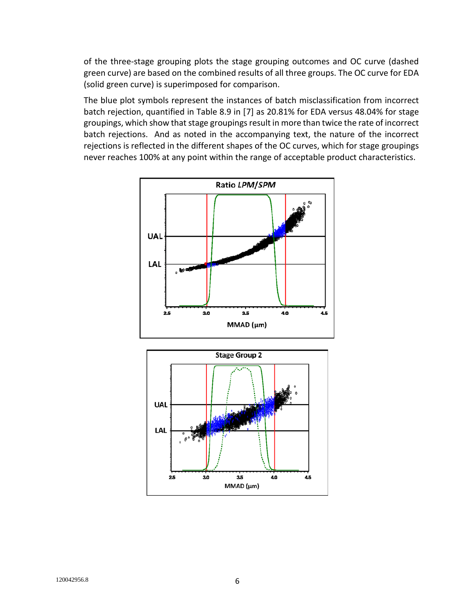of the three-stage grouping plots the stage grouping outcomes and OC curve (dashed green curve) are based on the combined results of all three groups. The OC curve for EDA (solid green curve) is superimposed for comparison.

The blue plot symbols represent the instances of batch misclassification from incorrect batch rejection, quantified in Table 8.9 in [[7\]](#page-10-6) as 20.81% for EDA versus 48.04% for stage groupings, which show that stage groupings result in more than twice the rate of incorrect batch rejections. And as noted in the accompanying text, the nature of the incorrect rejections is reflected in the different shapes of the OC curves, which for stage groupings never reaches 100% at any point within the range of acceptable product characteristics.



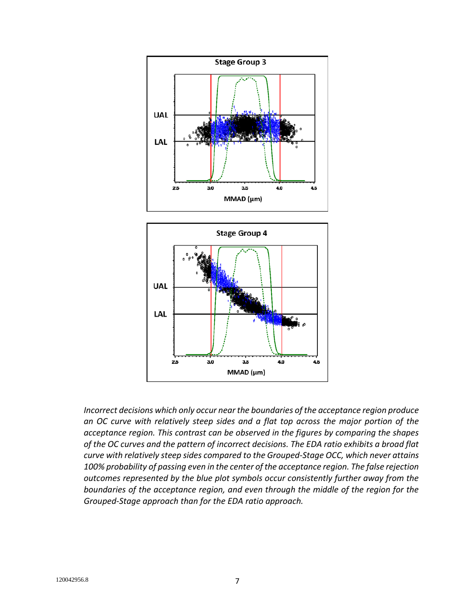

*Incorrect decisions which only occur near the boundaries of the acceptance region produce an OC curve with relatively steep sides and a flat top across the major portion of the acceptance region. This contrast can be observed in the figures by comparing the shapes of the OC curves and the pattern of incorrect decisions. The EDA ratio exhibits a broad flat curve with relatively steep sides compared to the Grouped-Stage OCC, which never attains 100% probability of passing even in the center of the acceptance region. The false rejection outcomes represented by the blue plot symbols occur consistently further away from the boundaries of the acceptance region, and even through the middle of the region for the Grouped-Stage approach than for the EDA ratio approach.*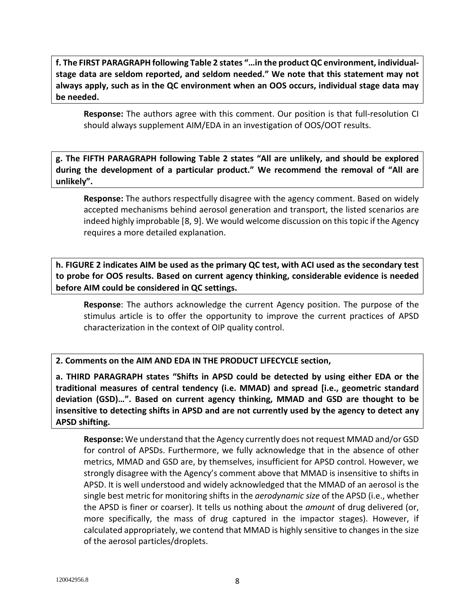**f. The FIRST PARAGRAPH following Table 2 states "…in the product QC environment, individualstage data are seldom reported, and seldom needed." We note that this statement may not always apply, such as in the QC environment when an OOS occurs, individual stage data may be needed.**

**Response:** The authors agree with this comment. Our position is that full-resolution CI should always supplement AIM/EDA in an investigation of OOS/OOT results.

**g. The FIFTH PARAGRAPH following Table 2 states "All are unlikely, and should be explored during the development of a particular product." We recommend the removal of "All are unlikely".**

**Response:** The authors respectfully disagree with the agency comment. Based on widely accepted mechanisms behind aerosol generation and transport, the listed scenarios are indeed highly improbable [[8](#page-10-7), [9](#page-10-8)]. We would welcome discussion on this topic if the Agency requires a more detailed explanation.

**h. FIGURE 2 indicates AIM be used as the primary QC test, with ACI used as the secondary test to probe for OOS results. Based on current agency thinking, considerable evidence is needed before AIM could be considered in QC settings.**

**Response**: The authors acknowledge the current Agency position. The purpose of the stimulus article is to offer the opportunity to improve the current practices of APSD characterization in the context of OIP quality control.

**2. Comments on the AIM AND EDA IN THE PRODUCT LIFECYCLE section,**

**a. THIRD PARAGRAPH states "Shifts in APSD could be detected by using either EDA or the traditional measures of central tendency (i.e. MMAD) and spread [i.e., geometric standard deviation (GSD)…". Based on current agency thinking, MMAD and GSD are thought to be insensitive to detecting shifts in APSD and are not currently used by the agency to detect any APSD shifting.**

**Response:** We understand that the Agency currently does not request MMAD and/or GSD for control of APSDs. Furthermore, we fully acknowledge that in the absence of other metrics, MMAD and GSD are, by themselves, insufficient for APSD control. However, we strongly disagree with the Agency's comment above that MMAD is insensitive to shifts in APSD. It is well understood and widely acknowledged that the MMAD of an aerosol is the single best metric for monitoring shifts in the *aerodynamic size* of the APSD (i.e., whether the APSD is finer or coarser). It tells us nothing about the *amount* of drug delivered (or, more specifically, the mass of drug captured in the impactor stages). However, if calculated appropriately, we contend that MMAD is highly sensitive to changes in the size of the aerosol particles/droplets.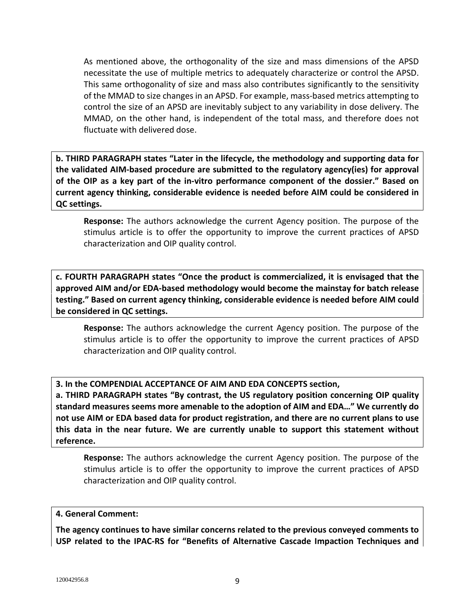As mentioned above, the orthogonality of the size and mass dimensions of the APSD necessitate the use of multiple metrics to adequately characterize or control the APSD. This same orthogonality of size and mass also contributes significantly to the sensitivity of the MMAD to size changes in an APSD. For example, mass-based metrics attempting to control the size of an APSD are inevitably subject to any variability in dose delivery. The MMAD, on the other hand, is independent of the total mass, and therefore does not fluctuate with delivered dose.

**b. THIRD PARAGRAPH states "Later in the lifecycle, the methodology and supporting data for the validated AIM-based procedure are submitted to the regulatory agency(ies) for approval of the OIP as a key part of the in-vitro performance component of the dossier." Based on current agency thinking, considerable evidence is needed before AIM could be considered in QC settings.**

**Response:** The authors acknowledge the current Agency position. The purpose of the stimulus article is to offer the opportunity to improve the current practices of APSD characterization and OIP quality control.

**c. FOURTH PARAGRAPH states "Once the product is commercialized, it is envisaged that the approved AIM and/or EDA-based methodology would become the mainstay for batch release testing." Based on current agency thinking, considerable evidence is needed before AIM could be considered in QC settings.**

**Response:** The authors acknowledge the current Agency position. The purpose of the stimulus article is to offer the opportunity to improve the current practices of APSD characterization and OIP quality control.

**3. In the COMPENDIAL ACCEPTANCE OF AIM AND EDA CONCEPTS section,**

**a. THIRD PARAGRAPH states "By contrast, the US regulatory position concerning OIP quality standard measures seems more amenable to the adoption of AIM and EDA…" We currently do not use AIM or EDA based data for product registration, and there are no current plans to use this data in the near future. We are currently unable to support this statement without reference.**

**Response:** The authors acknowledge the current Agency position. The purpose of the stimulus article is to offer the opportunity to improve the current practices of APSD characterization and OIP quality control.

# **4. General Comment:**

**The agency continues to have similar concerns related to the previous conveyed comments to USP related to the IPAC-RS for "Benefits of Alternative Cascade Impaction Techniques and**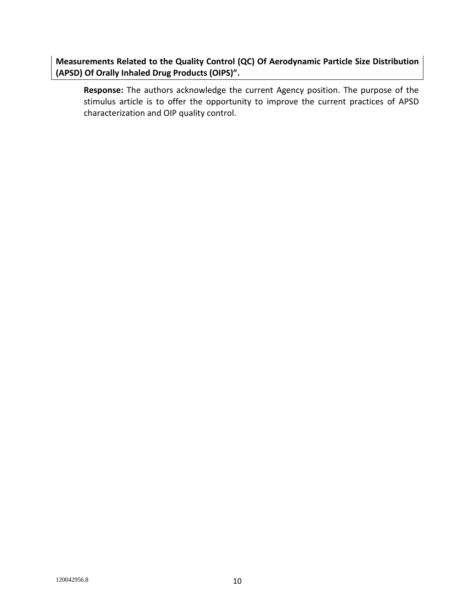**Measurements Related to the Quality Control (QC) Of Aerodynamic Particle Size Distribution (APSD) Of Orally Inhaled Drug Products (OIPS)".**

**Response:** The authors acknowledge the current Agency position. The purpose of the stimulus article is to offer the opportunity to improve the current practices of APSD characterization and OIP quality control.